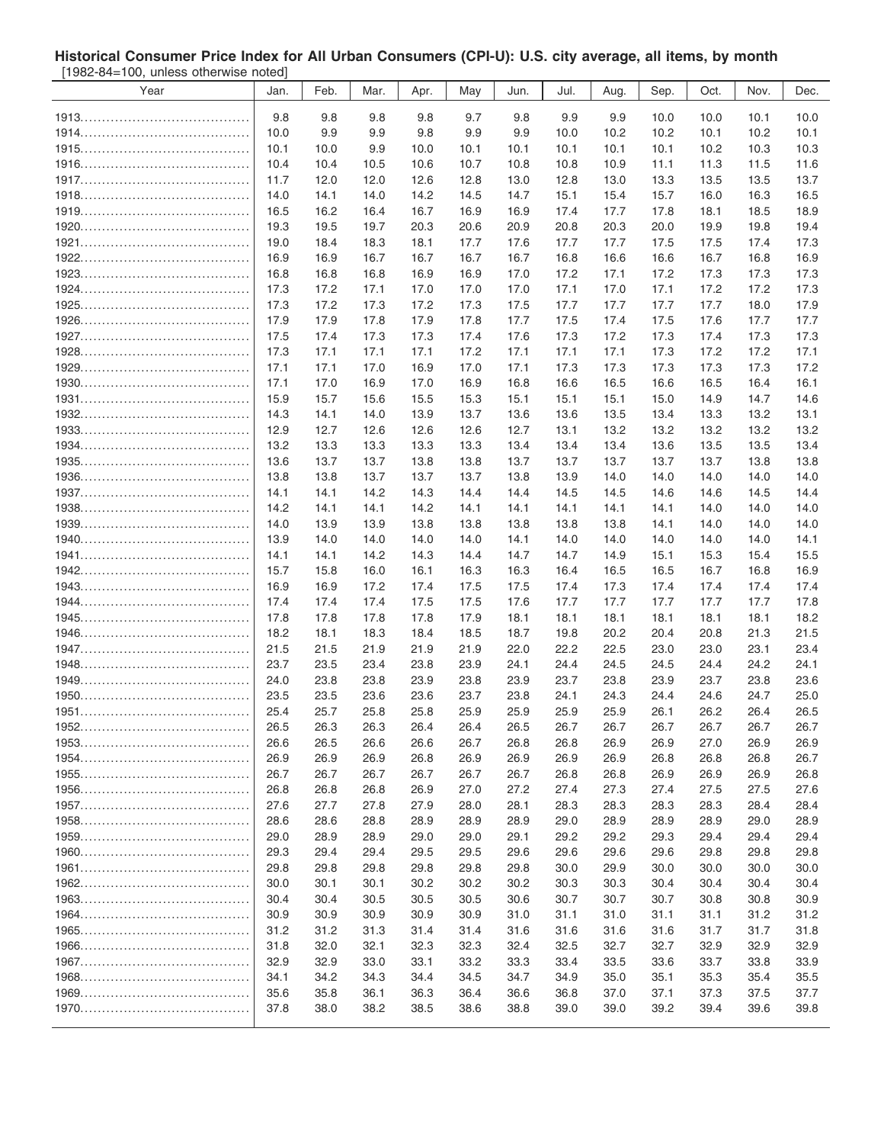## **Historical Consumer Price Index for All Urban Consumers (CPI-U): U.S. city average, all items, by month** [1982-84=100, unless otherwise noted]

| <b>UNICO ONCIVIDE NUCU</b> |      |      |      |      |      |      |      |      |      |      |      |      |
|----------------------------|------|------|------|------|------|------|------|------|------|------|------|------|
| Year                       | Jan. | Feb. | Mar. | Apr. | May  | Jun. | Jul. | Aug. | Sep. | Oct. | Nov. | Dec. |
|                            | 9.8  |      |      |      | 9.7  |      | 9.9  |      |      |      |      |      |
|                            |      | 9.8  | 9.8  | 9.8  |      | 9.8  |      | 9.9  | 10.0 | 10.0 | 10.1 | 10.0 |
|                            | 10.0 | 9.9  | 9.9  | 9.8  | 9.9  | 9.9  | 10.0 | 10.2 | 10.2 | 10.1 | 10.2 | 10.1 |
|                            | 10.1 | 10.0 | 9.9  | 10.0 | 10.1 | 10.1 | 10.1 | 10.1 | 10.1 | 10.2 | 10.3 | 10.3 |
|                            | 10.4 | 10.4 | 10.5 | 10.6 | 10.7 | 10.8 | 10.8 | 10.9 | 11.1 | 11.3 | 11.5 | 11.6 |
|                            | 11.7 | 12.0 | 12.0 | 12.6 | 12.8 | 13.0 | 12.8 | 13.0 | 13.3 | 13.5 | 13.5 | 13.7 |
|                            | 14.0 | 14.1 | 14.0 | 14.2 | 14.5 | 14.7 | 15.1 | 15.4 | 15.7 | 16.0 | 16.3 | 16.5 |
|                            | 16.5 | 16.2 | 16.4 | 16.7 | 16.9 | 16.9 | 17.4 | 17.7 | 17.8 | 18.1 | 18.5 | 18.9 |
|                            | 19.3 | 19.5 | 19.7 | 20.3 | 20.6 | 20.9 | 20.8 | 20.3 | 20.0 | 19.9 | 19.8 | 19.4 |
|                            | 19.0 | 18.4 | 18.3 | 18.1 | 17.7 | 17.6 | 17.7 | 17.7 | 17.5 | 17.5 | 17.4 | 17.3 |
|                            | 16.9 | 16.9 | 16.7 | 16.7 | 16.7 | 16.7 | 16.8 | 16.6 | 16.6 | 16.7 | 16.8 | 16.9 |
|                            | 16.8 | 16.8 | 16.8 | 16.9 | 16.9 | 17.0 | 17.2 | 17.1 | 17.2 | 17.3 | 17.3 | 17.3 |
|                            | 17.3 | 17.2 | 17.1 | 17.0 | 17.0 | 17.0 | 17.1 | 17.0 | 17.1 | 17.2 | 17.2 | 17.3 |
|                            | 17.3 | 17.2 | 17.3 | 17.2 | 17.3 | 17.5 | 17.7 | 17.7 | 17.7 | 17.7 | 18.0 | 17.9 |
|                            | 17.9 | 17.9 | 17.8 | 17.9 | 17.8 | 17.7 | 17.5 | 17.4 | 17.5 | 17.6 | 17.7 | 17.7 |
|                            | 17.5 | 17.4 | 17.3 | 17.3 | 17.4 | 17.6 | 17.3 | 17.2 | 17.3 | 17.4 | 17.3 | 17.3 |
|                            | 17.3 | 17.1 | 17.1 | 17.1 | 17.2 | 17.1 | 17.1 | 17.1 | 17.3 | 17.2 | 17.2 | 17.1 |
|                            | 17.1 | 17.1 | 17.0 | 16.9 | 17.0 | 17.1 | 17.3 | 17.3 | 17.3 | 17.3 | 17.3 | 17.2 |
|                            | 17.1 | 17.0 | 16.9 | 17.0 | 16.9 | 16.8 | 16.6 | 16.5 | 16.6 | 16.5 | 16.4 | 16.1 |
|                            | 15.9 |      |      |      |      |      |      |      |      |      |      |      |
|                            |      | 15.7 | 15.6 | 15.5 | 15.3 | 15.1 | 15.1 | 15.1 | 15.0 | 14.9 | 14.7 | 14.6 |
|                            | 14.3 | 14.1 | 14.0 | 13.9 | 13.7 | 13.6 | 13.6 | 13.5 | 13.4 | 13.3 | 13.2 | 13.1 |
|                            | 12.9 | 12.7 | 12.6 | 12.6 | 12.6 | 12.7 | 13.1 | 13.2 | 13.2 | 13.2 | 13.2 | 13.2 |
|                            | 13.2 | 13.3 | 13.3 | 13.3 | 13.3 | 13.4 | 13.4 | 13.4 | 13.6 | 13.5 | 13.5 | 13.4 |
|                            | 13.6 | 13.7 | 13.7 | 13.8 | 13.8 | 13.7 | 13.7 | 13.7 | 13.7 | 13.7 | 13.8 | 13.8 |
|                            | 13.8 | 13.8 | 13.7 | 13.7 | 13.7 | 13.8 | 13.9 | 14.0 | 14.0 | 14.0 | 14.0 | 14.0 |
|                            | 14.1 | 14.1 | 14.2 | 14.3 | 14.4 | 14.4 | 14.5 | 14.5 | 14.6 | 14.6 | 14.5 | 14.4 |
|                            | 14.2 | 14.1 | 14.1 | 14.2 | 14.1 | 14.1 | 14.1 | 14.1 | 14.1 | 14.0 | 14.0 | 14.0 |
|                            | 14.0 | 13.9 | 13.9 | 13.8 | 13.8 | 13.8 | 13.8 | 13.8 | 14.1 | 14.0 | 14.0 | 14.0 |
|                            | 13.9 | 14.0 | 14.0 | 14.0 | 14.0 | 14.1 | 14.0 | 14.0 | 14.0 | 14.0 | 14.0 | 14.1 |
|                            | 14.1 | 14.1 | 14.2 | 14.3 | 14.4 | 14.7 | 14.7 | 14.9 | 15.1 | 15.3 | 15.4 | 15.5 |
|                            | 15.7 | 15.8 | 16.0 | 16.1 | 16.3 | 16.3 | 16.4 | 16.5 | 16.5 | 16.7 | 16.8 | 16.9 |
|                            | 16.9 | 16.9 | 17.2 | 17.4 | 17.5 | 17.5 | 17.4 | 17.3 | 17.4 | 17.4 | 17.4 | 17.4 |
|                            | 17.4 | 17.4 | 17.4 | 17.5 | 17.5 | 17.6 | 17.7 | 17.7 | 17.7 | 17.7 | 17.7 | 17.8 |
|                            | 17.8 | 17.8 | 17.8 | 17.8 | 17.9 | 18.1 | 18.1 | 18.1 | 18.1 | 18.1 | 18.1 | 18.2 |
|                            | 18.2 | 18.1 | 18.3 | 18.4 | 18.5 | 18.7 | 19.8 | 20.2 | 20.4 | 20.8 | 21.3 | 21.5 |
|                            | 21.5 | 21.5 | 21.9 | 21.9 | 21.9 | 22.0 | 22.2 | 22.5 | 23.0 | 23.0 | 23.1 | 23.4 |
|                            | 23.7 | 23.5 | 23.4 | 23.8 | 23.9 | 24.1 | 24.4 | 24.5 | 24.5 | 24.4 | 24.2 | 24.1 |
|                            | 24.0 | 23.8 | 23.8 | 23.9 | 23.8 | 23.9 | 23.7 | 23.8 | 23.9 | 23.7 | 23.8 | 23.6 |
|                            | 23.5 | 23.5 | 23.6 | 23.6 | 23.7 | 23.8 | 24.1 | 24.3 | 24.4 | 24.6 | 24.7 | 25.0 |
|                            | 25.4 | 25.7 | 25.8 | 25.8 | 25.9 | 25.9 | 25.9 | 25.9 | 26.1 | 26.2 | 26.4 | 26.5 |
|                            | 26.5 | 26.3 | 26.3 | 26.4 | 26.4 | 26.5 | 26.7 | 26.7 | 26.7 | 26.7 | 26.7 | 26.7 |
|                            | 26.6 | 26.5 | 26.6 | 26.6 | 26.7 | 26.8 | 26.8 | 26.9 | 26.9 | 27.0 | 26.9 | 26.9 |
|                            | 26.9 | 26.9 | 26.9 | 26.8 | 26.9 | 26.9 | 26.9 | 26.9 | 26.8 | 26.8 | 26.8 | 26.7 |
|                            | 26.7 | 26.7 | 26.7 | 26.7 | 26.7 | 26.7 | 26.8 | 26.8 | 26.9 | 26.9 | 26.9 | 26.8 |
|                            | 26.8 | 26.8 | 26.8 | 26.9 | 27.0 | 27.2 | 27.4 | 27.3 | 27.4 | 27.5 | 27.5 | 27.6 |
|                            | 27.6 | 27.7 | 27.8 | 27.9 | 28.0 | 28.1 | 28.3 | 28.3 | 28.3 | 28.3 | 28.4 | 28.4 |
|                            | 28.6 | 28.6 | 28.8 | 28.9 | 28.9 | 28.9 | 29.0 | 28.9 | 28.9 | 28.9 | 29.0 | 28.9 |
|                            | 29.0 | 28.9 | 28.9 | 29.0 | 29.0 | 29.1 | 29.2 | 29.2 | 29.3 | 29.4 | 29.4 | 29.4 |
|                            | 29.3 | 29.4 | 29.4 | 29.5 | 29.5 | 29.6 | 29.6 | 29.6 | 29.6 | 29.8 | 29.8 | 29.8 |
|                            |      |      |      |      |      |      |      |      |      |      |      |      |
|                            | 29.8 | 29.8 | 29.8 | 29.8 | 29.8 | 29.8 | 30.0 | 29.9 | 30.0 | 30.0 | 30.0 | 30.0 |
|                            | 30.0 | 30.1 | 30.1 | 30.2 | 30.2 | 30.2 | 30.3 | 30.3 | 30.4 | 30.4 | 30.4 | 30.4 |
|                            | 30.4 | 30.4 | 30.5 | 30.5 | 30.5 | 30.6 | 30.7 | 30.7 | 30.7 | 30.8 | 30.8 | 30.9 |
|                            | 30.9 | 30.9 | 30.9 | 30.9 | 30.9 | 31.0 | 31.1 | 31.0 | 31.1 | 31.1 | 31.2 | 31.2 |
|                            | 31.2 | 31.2 | 31.3 | 31.4 | 31.4 | 31.6 | 31.6 | 31.6 | 31.6 | 31.7 | 31.7 | 31.8 |
|                            | 31.8 | 32.0 | 32.1 | 32.3 | 32.3 | 32.4 | 32.5 | 32.7 | 32.7 | 32.9 | 32.9 | 32.9 |
|                            | 32.9 | 32.9 | 33.0 | 33.1 | 33.2 | 33.3 | 33.4 | 33.5 | 33.6 | 33.7 | 33.8 | 33.9 |
|                            | 34.1 | 34.2 | 34.3 | 34.4 | 34.5 | 34.7 | 34.9 | 35.0 | 35.1 | 35.3 | 35.4 | 35.5 |
|                            | 35.6 | 35.8 | 36.1 | 36.3 | 36.4 | 36.6 | 36.8 | 37.0 | 37.1 | 37.3 | 37.5 | 37.7 |
|                            | 37.8 | 38.0 | 38.2 | 38.5 | 38.6 | 38.8 | 39.0 | 39.0 | 39.2 | 39.4 | 39.6 | 39.8 |
|                            |      |      |      |      |      |      |      |      |      |      |      |      |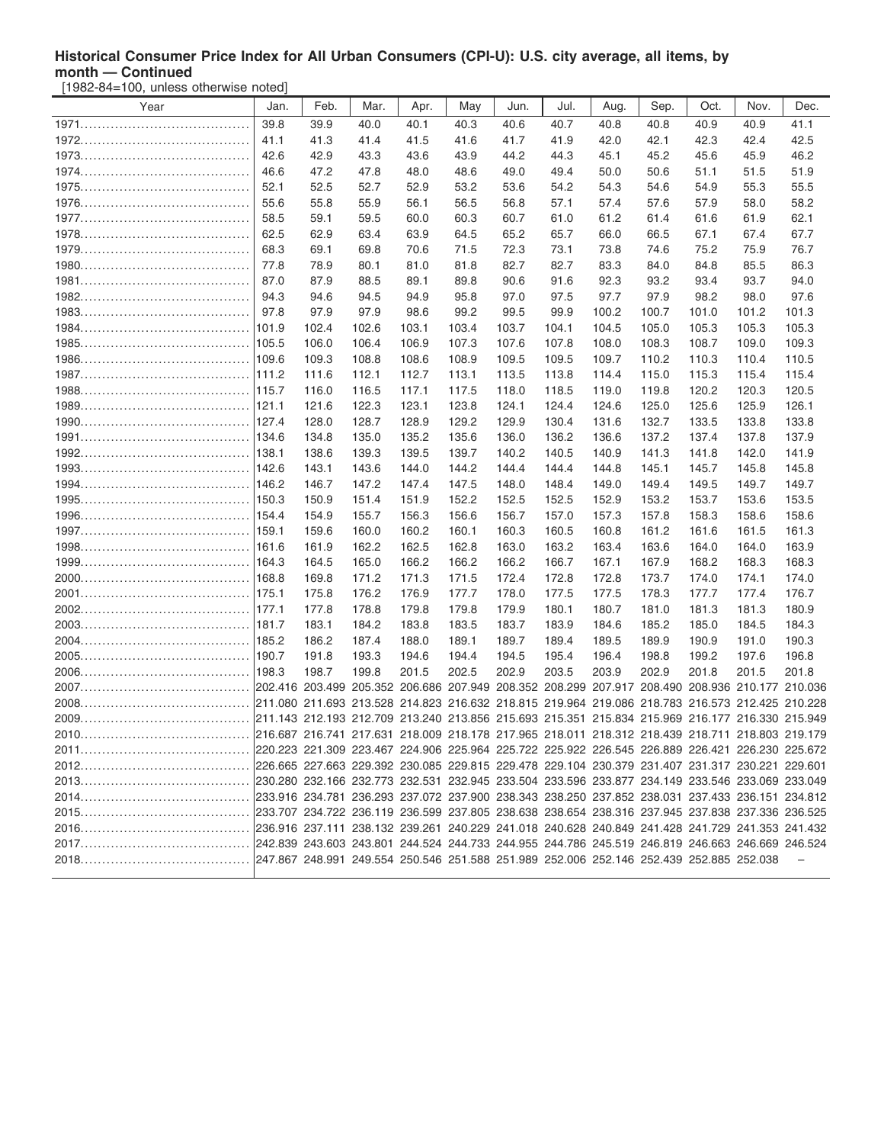## **Historical Consumer Price Index for All Urban Consumers (CPI-U): U.S. city average, all items, by month — Continued**

[1982-84=100, unless otherwise noted]

| Year | Jan.  | Feb.  | Mar.                                                                                            | Apr.  | May   | Jun.  | Jul.  | Aug.  | Sep.  | Oct.  | Nov.  | Dec.  |
|------|-------|-------|-------------------------------------------------------------------------------------------------|-------|-------|-------|-------|-------|-------|-------|-------|-------|
|      | 39.8  | 39.9  | 40.0                                                                                            | 40.1  | 40.3  | 40.6  | 40.7  | 40.8  | 40.8  | 40.9  | 40.9  | 41.1  |
|      | 41.1  | 41.3  | 41.4                                                                                            | 41.5  | 41.6  | 41.7  | 41.9  | 42.0  | 42.1  | 42.3  | 42.4  | 42.5  |
|      | 42.6  | 42.9  | 43.3                                                                                            | 43.6  | 43.9  | 44.2  | 44.3  | 45.1  | 45.2  | 45.6  | 45.9  | 46.2  |
|      | 46.6  | 47.2  | 47.8                                                                                            | 48.0  | 48.6  | 49.0  | 49.4  | 50.0  | 50.6  | 51.1  | 51.5  | 51.9  |
|      | 52.1  | 52.5  | 52.7                                                                                            | 52.9  | 53.2  | 53.6  | 54.2  | 54.3  | 54.6  | 54.9  | 55.3  | 55.5  |
|      | 55.6  | 55.8  | 55.9                                                                                            | 56.1  | 56.5  | 56.8  | 57.1  | 57.4  | 57.6  | 57.9  | 58.0  | 58.2  |
|      | 58.5  | 59.1  | 59.5                                                                                            | 60.0  | 60.3  | 60.7  | 61.0  | 61.2  | 61.4  | 61.6  | 61.9  | 62.1  |
|      | 62.5  | 62.9  | 63.4                                                                                            | 63.9  | 64.5  | 65.2  | 65.7  | 66.0  | 66.5  | 67.1  | 67.4  | 67.7  |
|      | 68.3  | 69.1  | 69.8                                                                                            | 70.6  | 71.5  | 72.3  | 73.1  | 73.8  | 74.6  | 75.2  | 75.9  | 76.7  |
|      | 77.8  | 78.9  | 80.1                                                                                            | 81.0  | 81.8  | 82.7  | 82.7  | 83.3  | 84.0  | 84.8  | 85.5  | 86.3  |
|      | 87.0  | 87.9  | 88.5                                                                                            | 89.1  | 89.8  | 90.6  | 91.6  | 92.3  | 93.2  | 93.4  | 93.7  | 94.0  |
|      | 94.3  | 94.6  | 94.5                                                                                            | 94.9  | 95.8  | 97.0  | 97.5  | 97.7  | 97.9  | 98.2  | 98.0  | 97.6  |
|      | 97.8  | 97.9  | 97.9                                                                                            | 98.6  | 99.2  | 99.5  | 99.9  | 100.2 | 100.7 | 101.0 | 101.2 | 101.3 |
|      | 101.9 | 102.4 | 102.6                                                                                           | 103.1 | 103.4 | 103.7 | 104.1 | 104.5 | 105.0 | 105.3 | 105.3 | 105.3 |
|      | 105.5 | 106.0 | 106.4                                                                                           | 106.9 | 107.3 | 107.6 | 107.8 | 108.0 | 108.3 | 108.7 | 109.0 | 109.3 |
|      | 109.6 | 109.3 | 108.8                                                                                           | 108.6 | 108.9 | 109.5 | 109.5 | 109.7 | 110.2 | 110.3 | 110.4 | 110.5 |
|      | 111.2 | 111.6 | 112.1                                                                                           | 112.7 | 113.1 | 113.5 | 113.8 | 114.4 | 115.0 | 115.3 | 115.4 | 115.4 |
|      | 115.7 | 116.0 | 116.5                                                                                           | 117.1 | 117.5 | 118.0 | 118.5 | 119.0 | 119.8 | 120.2 | 120.3 | 120.5 |
|      |       | 121.6 | 122.3                                                                                           | 123.1 | 123.8 | 124.1 | 124.4 | 124.6 | 125.0 | 125.6 | 125.9 | 126.1 |
|      | 127.4 | 128.0 | 128.7                                                                                           | 128.9 | 129.2 | 129.9 | 130.4 | 131.6 | 132.7 | 133.5 | 133.8 | 133.8 |
|      | 134.6 | 134.8 | 135.0                                                                                           | 135.2 | 135.6 | 136.0 | 136.2 | 136.6 | 137.2 | 137.4 | 137.8 | 137.9 |
|      | 138.1 | 138.6 | 139.3                                                                                           | 139.5 | 139.7 | 140.2 | 140.5 | 140.9 | 141.3 | 141.8 | 142.0 | 141.9 |
|      | 142.6 | 143.1 | 143.6                                                                                           | 144.0 | 144.2 | 144.4 | 144.4 | 144.8 | 145.1 | 145.7 | 145.8 | 145.8 |
|      | 146.2 | 146.7 | 147.2                                                                                           | 147.4 | 147.5 | 148.0 | 148.4 | 149.0 | 149.4 | 149.5 | 149.7 | 149.7 |
|      | 150.3 | 150.9 | 151.4                                                                                           | 151.9 | 152.2 | 152.5 | 152.5 | 152.9 | 153.2 | 153.7 | 153.6 | 153.5 |
|      | 154.4 | 154.9 | 155.7                                                                                           | 156.3 | 156.6 | 156.7 | 157.0 | 157.3 | 157.8 | 158.3 | 158.6 | 158.6 |
|      | 159.1 | 159.6 | 160.0                                                                                           | 160.2 | 160.1 | 160.3 | 160.5 | 160.8 | 161.2 | 161.6 | 161.5 | 161.3 |
|      | 161.6 | 161.9 | 162.2                                                                                           | 162.5 | 162.8 | 163.0 | 163.2 | 163.4 | 163.6 | 164.0 | 164.0 | 163.9 |
|      | 164.3 | 164.5 | 165.0                                                                                           | 166.2 | 166.2 | 166.2 | 166.7 | 167.1 | 167.9 | 168.2 | 168.3 | 168.3 |
|      | 168.8 | 169.8 | 171.2                                                                                           | 171.3 | 171.5 | 172.4 | 172.8 | 172.8 | 173.7 | 174.0 | 174.1 | 174.0 |
|      | 175.1 | 175.8 | 176.2                                                                                           | 176.9 | 177.7 | 178.0 | 177.5 | 177.5 | 178.3 | 177.7 | 177.4 | 176.7 |
|      | 177.1 | 177.8 | 178.8                                                                                           | 179.8 | 179.8 | 179.9 | 180.1 | 180.7 | 181.0 | 181.3 | 181.3 | 180.9 |
|      | 181.7 | 183.1 | 184.2                                                                                           | 183.8 | 183.5 | 183.7 | 183.9 | 184.6 | 185.2 | 185.0 | 184.5 | 184.3 |
|      | 185.2 | 186.2 | 187.4                                                                                           | 188.0 | 189.1 | 189.7 | 189.4 | 189.5 | 189.9 | 190.9 | 191.0 | 190.3 |
|      | 190.7 | 191.8 | 193.3                                                                                           | 194.6 | 194.4 | 194.5 | 195.4 | 196.4 | 198.8 | 199.2 | 197.6 | 196.8 |
|      | 198.3 | 198.7 | 199.8                                                                                           | 201.5 | 202.5 | 202.9 | 203.5 | 203.9 | 202.9 | 201.8 | 201.5 | 201.8 |
|      |       |       | 202.416 203.499 205.352 206.686 207.949 208.352 208.299 207.917 208.490 208.936 210.177 210.036 |       |       |       |       |       |       |       |       |       |
|      |       |       | 211.080 211.693 213.528 214.823 216.632 218.815 219.964 219.086 218.783 216.573 212.425 210.228 |       |       |       |       |       |       |       |       |       |
|      |       |       |                                                                                                 |       |       |       |       |       |       |       |       |       |
|      |       |       |                                                                                                 |       |       |       |       |       |       |       |       |       |
|      |       |       |                                                                                                 |       |       |       |       |       |       |       |       |       |
|      |       |       |                                                                                                 |       |       |       |       |       |       |       |       |       |
|      |       |       |                                                                                                 |       |       |       |       |       |       |       |       |       |
|      |       |       |                                                                                                 |       |       |       |       |       |       |       |       |       |
|      |       |       |                                                                                                 |       |       |       |       |       |       |       |       |       |
|      |       |       |                                                                                                 |       |       |       |       |       |       |       |       |       |
|      |       |       |                                                                                                 |       |       |       |       |       |       |       |       |       |
|      |       |       |                                                                                                 |       |       |       |       |       |       |       |       |       |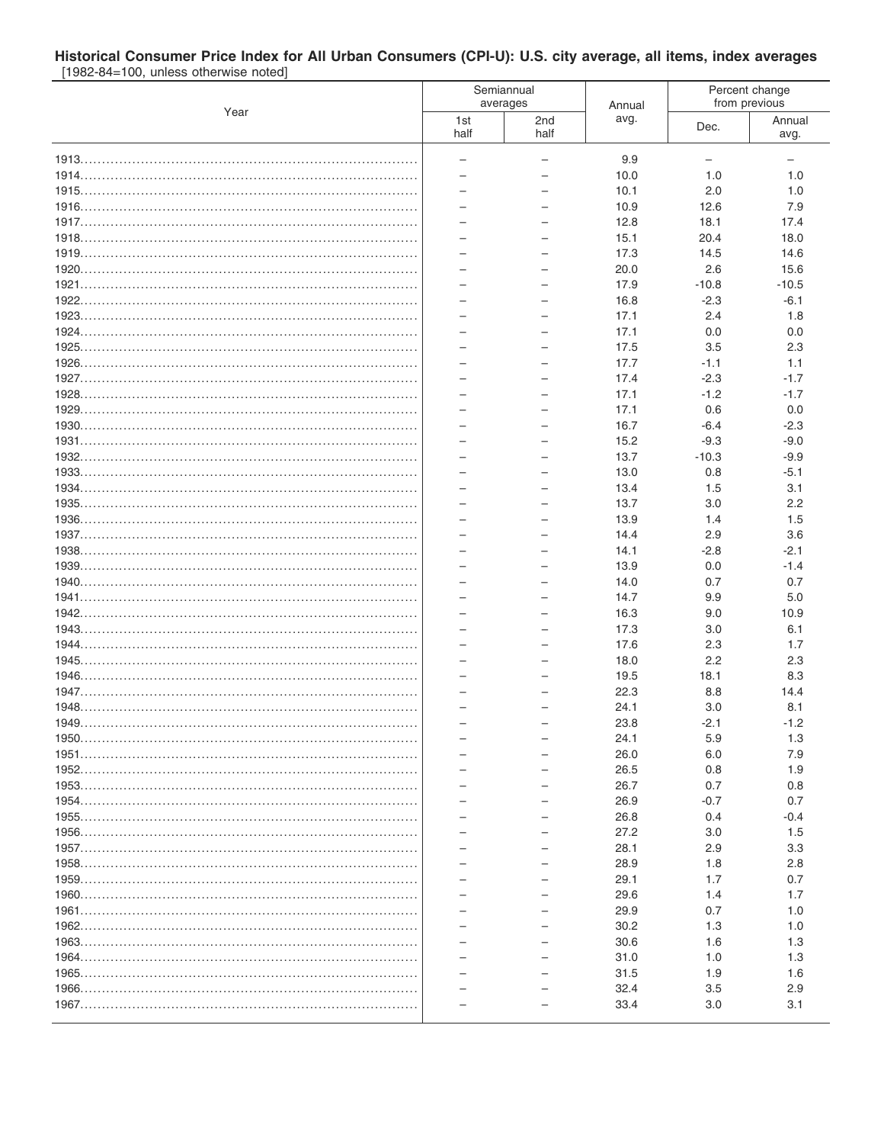## Historical Consumer Price Index for All Urban Consumers (CPI-U): U.S. city average, all items, index averages<br>
[1982-84=100, unless otherwise noted]

|      |                          | Semiannual<br>averages   | Annual       | Percent change<br>from previous |                |  |
|------|--------------------------|--------------------------|--------------|---------------------------------|----------------|--|
| Year | 1st<br>half              | 2nd<br>half              | avg.         | Dec.                            | Annual<br>avg. |  |
|      | $\overline{\phantom{0}}$ | $\overline{\phantom{0}}$ | 9.9          | $-$                             |                |  |
|      |                          |                          | 10.0         | 1.0                             | 1.0            |  |
|      |                          |                          | 10.1         | 2.0                             | 1.0            |  |
|      |                          |                          | 10.9         | 12.6                            | 7.9            |  |
|      |                          |                          | 12.8         | 18.1                            | 17.4           |  |
|      |                          |                          | 15.1         | 20.4                            | 18.0           |  |
|      |                          |                          | 17.3         | 14.5                            | 14.6           |  |
|      |                          |                          | 20.0         | 2.6                             | 15.6           |  |
|      |                          |                          | 17.9         | $-10.8$                         | $-10.5$        |  |
|      | $\equiv$                 | $\overline{\phantom{0}}$ | 16.8         | $-2.3$                          | $-6.1$         |  |
|      |                          |                          | 17.1         | 2.4                             | 1.8            |  |
|      |                          |                          | 17.1         | 0.0                             | 0.0            |  |
|      |                          |                          | 17.5         | 3.5                             | 2.3            |  |
|      |                          |                          | 17.7         | $-1.1$                          | 1.1            |  |
|      |                          |                          | 17.4         | $-2.3$                          | $-1.7$         |  |
|      | ÷                        | $\overline{\phantom{0}}$ | 17.1<br>17.1 | $-1.2$<br>0.6                   | $-1.7$<br>0.0  |  |
|      |                          |                          | 16.7         | $-6.4$                          | $-2.3$         |  |
|      |                          |                          | 15.2         | $-9.3$                          | $-9.0$         |  |
|      | $\overline{\phantom{0}}$ |                          | 13.7         | $-10.3$                         | $-9.9$         |  |
|      |                          |                          | 13.0         | 0.8                             | $-5.1$         |  |
|      | $\overline{\phantom{0}}$ |                          | 13.4         | 1.5                             | 3.1            |  |
|      |                          |                          | 13.7         | 3.0                             | 2.2            |  |
|      |                          |                          | 13.9         | 1.4                             | 1.5            |  |
|      |                          |                          | 14.4         | 2.9                             | 3.6            |  |
|      |                          |                          | 14.1         | $-2.8$                          | $-2.1$         |  |
|      | ÷                        | $\equiv$                 | 13.9         | 0.0                             | $-1.4$         |  |
|      |                          |                          | 14.0         | 0.7                             | 0.7            |  |
|      |                          |                          | 14.7         | 9.9                             | 5.0            |  |
|      |                          |                          | 16.3         | 9.0                             | 10.9           |  |
|      | $\overline{\phantom{0}}$ |                          | 17.3         | 3.0                             | 6.1            |  |
|      | -<br>$\equiv$            |                          | 17.6         | 2.3<br>2.2                      | 1.7            |  |
|      |                          |                          | 18.0<br>19.5 | 18.1                            | 2.3<br>8.3     |  |
|      |                          |                          | 22.3         | 8.8                             | 14.4           |  |
|      | $\overline{\phantom{0}}$ |                          | 24.1         | 3.0                             | 8.1            |  |
|      |                          |                          | 23.8         | $-2.1$                          | $-1.2$         |  |
|      |                          |                          | 24.1         | 5.9                             | 1.3            |  |
|      |                          |                          | 26.0         | 6.0                             | 7.9            |  |
|      |                          |                          | 26.5         | 0.8                             | 1.9            |  |
|      |                          |                          | 26.7         | 0.7                             | 0.8            |  |
|      |                          |                          | 26.9         | $-0.7$                          | 0.7            |  |
|      |                          |                          | 26.8         | 0.4                             | -0.4           |  |
|      |                          |                          | 27.2         | 3.0                             | 1.5            |  |
|      |                          |                          | 28.1         | 2.9                             | 3.3            |  |
|      |                          |                          | 28.9         | 1.8                             | 2.8            |  |
|      |                          |                          | 29.1         | 1.7                             | 0.7            |  |
|      |                          |                          | 29.6         | 1.4                             | 1.7            |  |
|      |                          |                          | 29.9         | 0.7                             | 1.0            |  |
|      |                          |                          | 30.2         | 1.3                             | 1.0            |  |
|      |                          |                          | 30.6         | 1.6                             | 1.3            |  |
|      |                          |                          | 31.0<br>31.5 | 1.0<br>1.9                      | 1.3<br>1.6     |  |
|      |                          |                          | 32.4         | 3.5                             | 2.9            |  |
|      |                          |                          | 33.4         | 3.0                             | 3.1            |  |
|      |                          |                          |              |                                 |                |  |